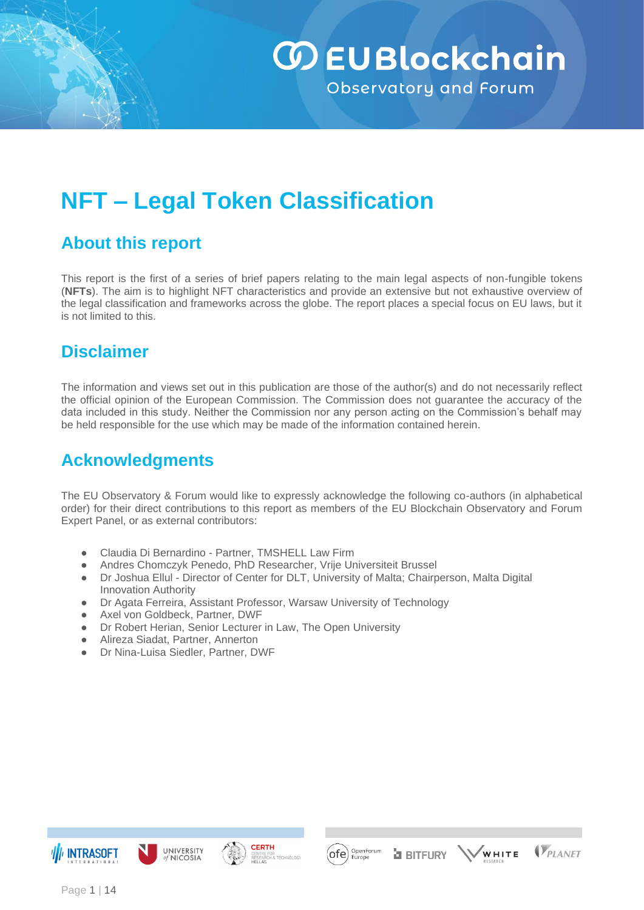

# **NFT – Legal Token Classification**

## **About this report**

This report is the first of a series of brief papers relating to the main legal aspects of non-fungible tokens (**NFTs**). The aim is to highlight NFT characteristics and provide an extensive but not exhaustive overview of the legal classification and frameworks across the globe. The report places a special focus on EU laws, but it is not limited to this.

### **Disclaimer**

The information and views set out in this publication are those of the author(s) and do not necessarily reflect the official opinion of the European Commission. The Commission does not guarantee the accuracy of the data included in this study. Neither the Commission nor any person acting on the Commission's behalf may be held responsible for the use which may be made of the information contained herein.

## **Acknowledgments**

The EU Observatory & Forum would like to expressly acknowledge the following co-authors (in alphabetical order) for their direct contributions to this report as members of the EU Blockchain Observatory and Forum Expert Panel, or as external contributors:

- Claudia Di Bernardino Partner, TMSHELL Law Firm
- Andres Chomczyk Penedo, PhD Researcher, Vrije Universiteit Brussel
- Dr Joshua Ellul Director of Center for DLT, University of Malta; Chairperson, Malta Digital Innovation Authority
- Dr Agata Ferreira, Assistant Professor, Warsaw University of Technology
- Axel von Goldbeck, Partner, DWF
- Dr Robert Herian, Senior Lecturer in Law, The Open University
- Alireza Siadat, Partner, Annerton
- Dr Nina-Luisa Siedler, Partner, DWF









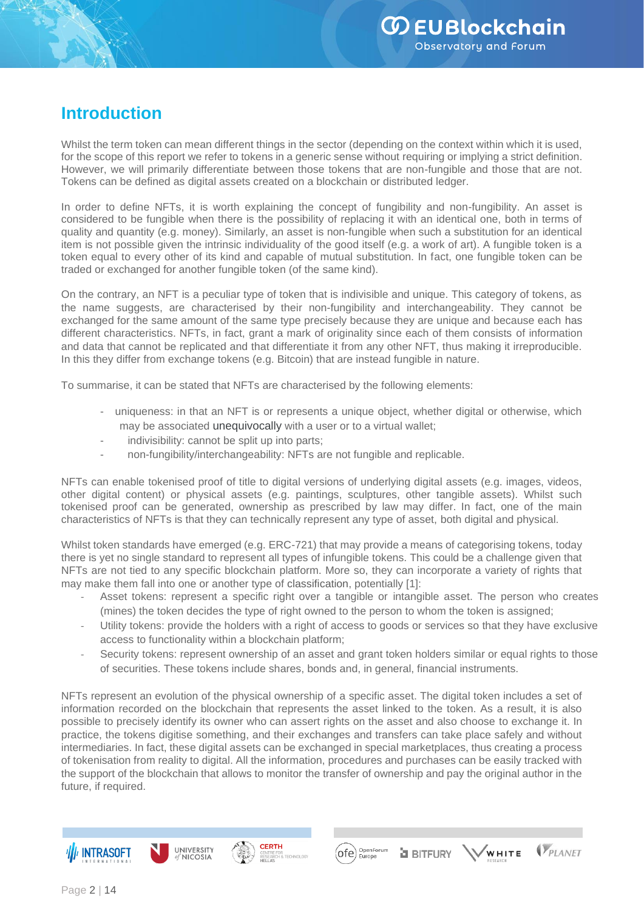## **Introduction**

Whilst the term token can mean different things in the sector (depending on the context within which it is used, for the scope of this report we refer to tokens in a generic sense without requiring or implying a strict definition. However, we will primarily differentiate between those tokens that are non-fungible and those that are not. Tokens can be defined as digital assets created on a blockchain or distributed ledger.

In order to define NFTs, it is worth explaining the concept of fungibility and non-fungibility. An asset is considered to be fungible when there is the possibility of replacing it with an identical one, both in terms of quality and quantity (e.g. money). Similarly, an asset is non-fungible when such a substitution for an identical item is not possible given the intrinsic individuality of the good itself (e.g. a work of art). A fungible token is a token equal to every other of its kind and capable of mutual substitution. In fact, one fungible token can be traded or exchanged for another fungible token (of the same kind).

On the contrary, an NFT is a peculiar type of token that is indivisible and unique. This category of tokens, as the name suggests, are characterised by their non-fungibility and interchangeability. They cannot be exchanged for the same amount of the same type precisely because they are unique and because each has different characteristics. NFTs, in fact, grant a mark of originality since each of them consists of information and data that cannot be replicated and that differentiate it from any other NFT, thus making it irreproducible. In this they differ from exchange tokens (e.g. Bitcoin) that are instead fungible in nature.

To summarise, it can be stated that NFTs are characterised by the following elements:

- uniqueness: in that an NFT is or represents a unique object, whether digital or otherwise, which may be associated unequivocally with a user or to a virtual wallet;
- indivisibility: cannot be split up into parts;
- non-fungibility/interchangeability: NFTs are not fungible and replicable.

NFTs can enable tokenised proof of title to digital versions of underlying digital assets (e.g. images, videos, other digital content) or physical assets (e.g. paintings, sculptures, other tangible assets). Whilst such tokenised proof can be generated, ownership as prescribed by law may differ. In fact, one of the main characteristics of NFTs is that they can technically represent any type of asset, both digital and physical.

Whilst token standards have emerged (e.g. ERC-721) that may provide a means of categorising tokens, today there is yet no single standard to represent all types of infungible tokens. This could be a challenge given that NFTs are not tied to any specific blockchain platform. More so, they can incorporate a variety of rights that may make them fall into one or another type of classification, potentially [1]:

- Asset tokens: represent a specific right over a tangible or intangible asset. The person who creates (mines) the token decides the type of right owned to the person to whom the token is assigned;
- Utility tokens: provide the holders with a right of access to goods or services so that they have exclusive access to functionality within a blockchain platform;
- Security tokens: represent ownership of an asset and grant token holders similar or equal rights to those of securities. These tokens include shares, bonds and, in general, financial instruments.

NFTs represent an evolution of the physical ownership of a specific asset. The digital token includes a set of information recorded on the blockchain that represents the asset linked to the token. As a result, it is also possible to precisely identify its owner who can assert rights on the asset and also choose to exchange it. In practice, the tokens digitise something, and their exchanges and transfers can take place safely and without intermediaries. In fact, these digital assets can be exchanged in special marketplaces, thus creating a process of tokenisation from reality to digital. All the information, procedures and purchases can be easily tracked with the support of the blockchain that allows to monitor the transfer of ownership and pay the original author in the future, if required.







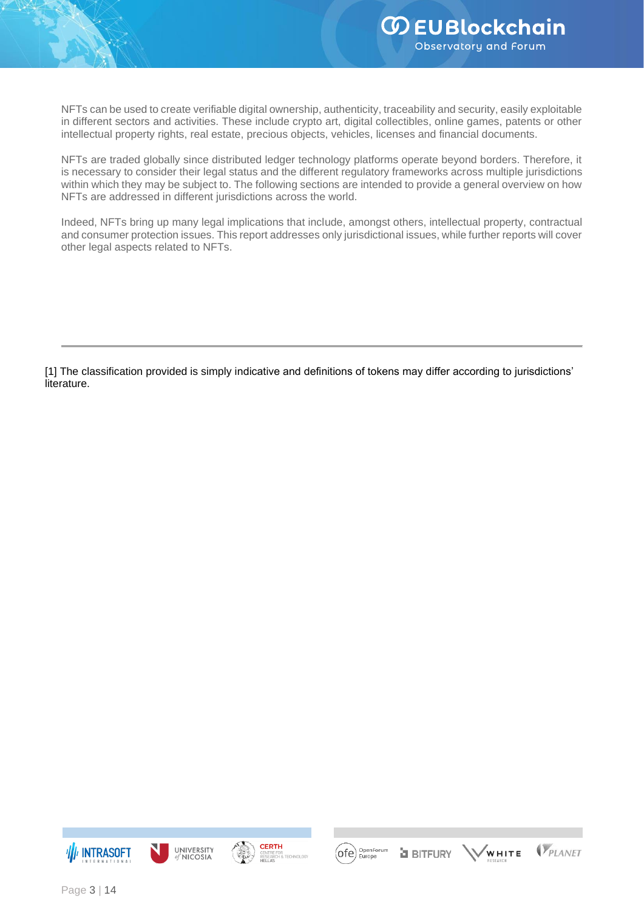NFTs can be used to create verifiable digital ownership, authenticity, traceability and security, easily exploitable in different sectors and activities. These include crypto art, digital collectibles, online games, patents or other intellectual property rights, real estate, precious objects, vehicles, licenses and financial documents.

NFTs are traded globally since distributed ledger technology platforms operate beyond borders. Therefore, it is necessary to consider their legal status and the different regulatory frameworks across multiple jurisdictions within which they may be subject to. The following sections are intended to provide a general overview on how NFTs are addressed in different jurisdictions across the world.

Indeed, NFTs bring up many legal implications that include, amongst others, intellectual property, contractual and consumer protection issues. This report addresses only jurisdictional issues, while further reports will cover other legal aspects related to NFTs.

[1] The classification provided is simply indicative and definitions of tokens may differ according to jurisdictions' literature.









.<br>WHITE **a** BITFURY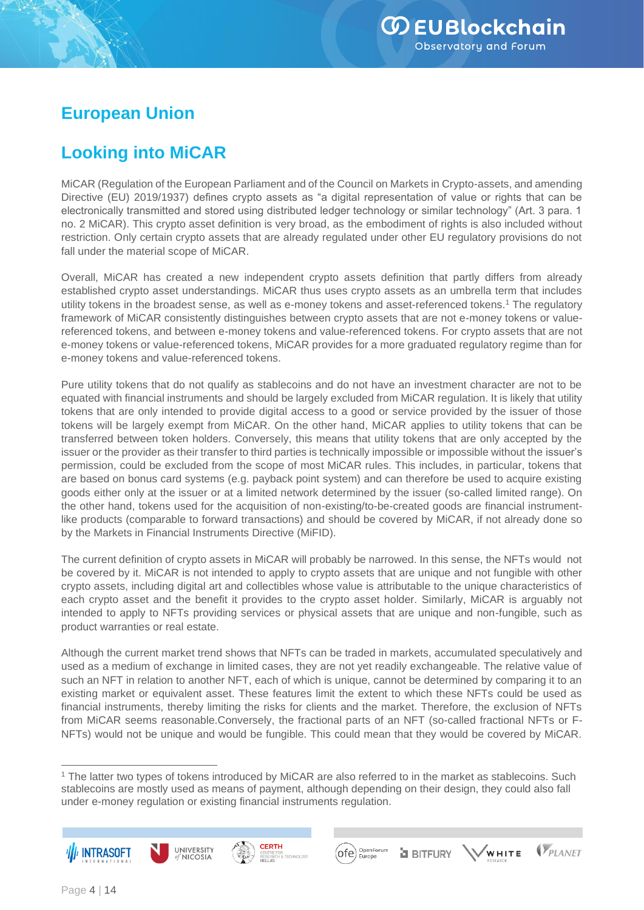## **European Union**

## **Looking into MiCAR**

MiCAR (Regulation of the European Parliament and of the Council on Markets in Crypto-assets, and amending Directive (EU) 2019/1937) defines crypto assets as "a digital representation of value or rights that can be electronically transmitted and stored using distributed ledger technology or similar technology" (Art. 3 para. 1 no. 2 MiCAR). This crypto asset definition is very broad, as the embodiment of rights is also included without restriction. Only certain crypto assets that are already regulated under other EU regulatory provisions do not fall under the material scope of MiCAR.

Overall, MiCAR has created a new independent crypto assets definition that partly differs from already established crypto asset understandings. MiCAR thus uses crypto assets as an umbrella term that includes utility tokens in the broadest sense, as well as e-money tokens and asset-referenced tokens.<sup>1</sup> The regulatory framework of MiCAR consistently distinguishes between crypto assets that are not e-money tokens or valuereferenced tokens, and between e-money tokens and value-referenced tokens. For crypto assets that are not e-money tokens or value-referenced tokens, MiCAR provides for a more graduated regulatory regime than for e-money tokens and value-referenced tokens.

Pure utility tokens that do not qualify as stablecoins and do not have an investment character are not to be equated with financial instruments and should be largely excluded from MiCAR regulation. It is likely that utility tokens that are only intended to provide digital access to a good or service provided by the issuer of those tokens will be largely exempt from MiCAR. On the other hand, MiCAR applies to utility tokens that can be transferred between token holders. Conversely, this means that utility tokens that are only accepted by the issuer or the provider as their transfer to third parties is technically impossible or impossible without the issuer's permission, could be excluded from the scope of most MiCAR rules. This includes, in particular, tokens that are based on bonus card systems (e.g. payback point system) and can therefore be used to acquire existing goods either only at the issuer or at a limited network determined by the issuer (so-called limited range). On the other hand, tokens used for the acquisition of non-existing/to-be-created goods are financial instrumentlike products (comparable to forward transactions) and should be covered by MiCAR, if not already done so by the Markets in Financial Instruments Directive (MiFID).

The current definition of crypto assets in MiCAR will probably be narrowed. In this sense, the NFTs would not be covered by it. MiCAR is not intended to apply to crypto assets that are unique and not fungible with other crypto assets, including digital art and collectibles whose value is attributable to the unique characteristics of each crypto asset and the benefit it provides to the crypto asset holder. Similarly, MiCAR is arguably not intended to apply to NFTs providing services or physical assets that are unique and non-fungible, such as product warranties or real estate.

Although the current market trend shows that NFTs can be traded in markets, accumulated speculatively and used as a medium of exchange in limited cases, they are not yet readily exchangeable. The relative value of such an NFT in relation to another NFT, each of which is unique, cannot be determined by comparing it to an existing market or equivalent asset. These features limit the extent to which these NFTs could be used as financial instruments, thereby limiting the risks for clients and the market. Therefore, the exclusion of NFTs from MiCAR seems reasonable.Conversely, the fractional parts of an NFT (so-called fractional NFTs or F-NFTs) would not be unique and would be fungible. This could mean that they would be covered by MiCAR.

<sup>1</sup> The latter two types of tokens introduced by MiCAR are also referred to in the market as stablecoins. Such stablecoins are mostly used as means of payment, although depending on their design, they could also fall under e-money regulation or existing financial instruments regulation.







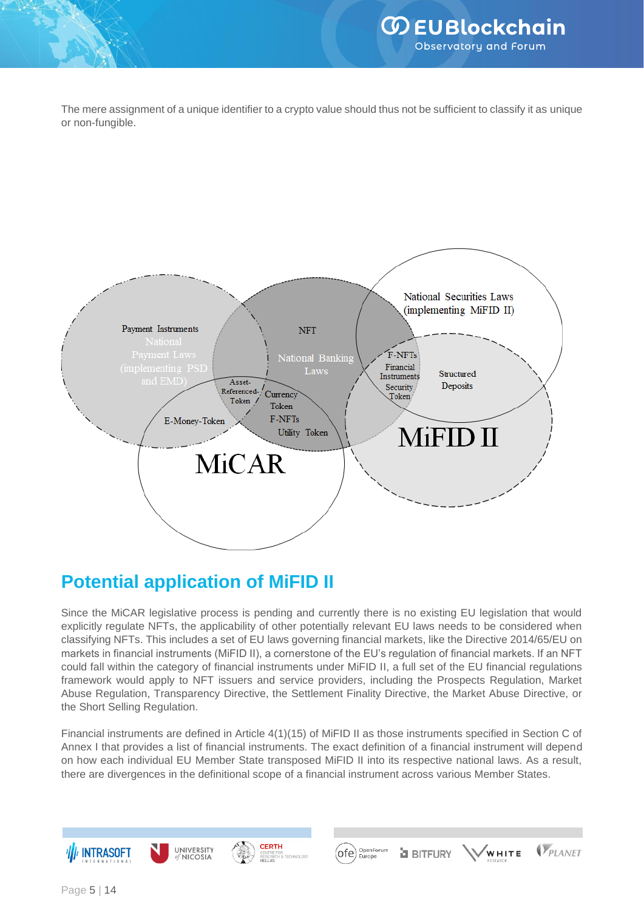The mere assignment of a unique identifier to a crypto value should thus not be sufficient to classify it as unique or non-fungible.



## **Potential application of MiFID II**

Since the MiCAR legislative process is pending and currently there is no existing EU legislation that would explicitly regulate NFTs, the applicability of other potentially relevant EU laws needs to be considered when classifying NFTs. This includes a set of EU laws governing financial markets, like the Directive 2014/65/EU on markets in financial instruments (MiFID II), a cornerstone of the EU's regulation of financial markets. If an NFT could fall within the category of financial instruments under MiFID II, a full set of the EU financial regulations framework would apply to NFT issuers and service providers, including the Prospects Regulation, Market Abuse Regulation, Transparency Directive, the Settlement Finality Directive, the Market Abuse Directive, or the Short Selling Regulation.

Financial instruments are defined in Article 4(1)(15) of MiFID II as those instruments specified in Section C of Annex I that provides a list of financial instruments. The exact definition of a financial instrument will depend on how each individual EU Member State transposed MiFID II into its respective national laws. As a result, there are divergences in the definitional scope of a financial instrument across various Member States.

R<br>& TECHNOLOG





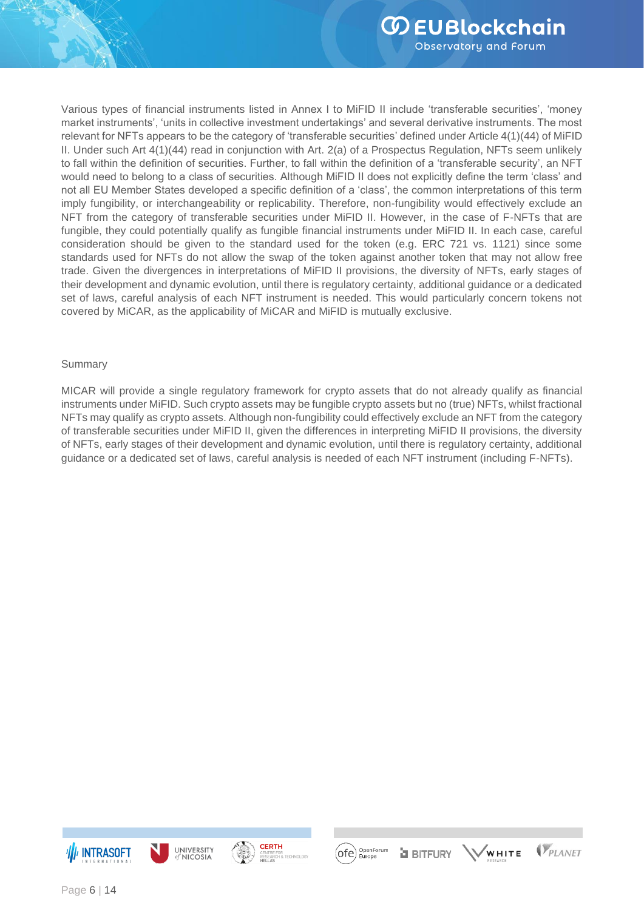Various types of financial instruments listed in Annex I to MiFID II include 'transferable securities', 'money market instruments', 'units in collective investment undertakings' and several derivative instruments. The most relevant for NFTs appears to be the category of 'transferable securities' defined under Article 4(1)(44) of MiFID II. Under such Art 4(1)(44) read in conjunction with Art. 2(a) of a Prospectus Regulation, NFTs seem unlikely to fall within the definition of securities. Further, to fall within the definition of a 'transferable security', an NFT would need to belong to a class of securities. Although MiFID II does not explicitly define the term 'class' and not all EU Member States developed a specific definition of a 'class', the common interpretations of this term imply fungibility, or interchangeability or replicability. Therefore, non-fungibility would effectively exclude an NFT from the category of transferable securities under MiFID II. However, in the case of F-NFTs that are fungible, they could potentially qualify as fungible financial instruments under MiFID II. In each case, careful consideration should be given to the standard used for the token (e.g. ERC 721 vs. 1121) since some standards used for NFTs do not allow the swap of the token against another token that may not allow free trade. Given the divergences in interpretations of MiFID II provisions, the diversity of NFTs, early stages of their development and dynamic evolution, until there is regulatory certainty, additional guidance or a dedicated set of laws, careful analysis of each NFT instrument is needed. This would particularly concern tokens not covered by MiCAR, as the applicability of MiCAR and MiFID is mutually exclusive.

#### Summary

MICAR will provide a single regulatory framework for crypto assets that do not already qualify as financial instruments under MiFID. Such crypto assets may be fungible crypto assets but no (true) NFTs, whilst fractional NFTs may qualify as crypto assets. Although non-fungibility could effectively exclude an NFT from the category of transferable securities under MiFID II, given the differences in interpreting MiFID II provisions, the diversity of NFTs, early stages of their development and dynamic evolution, until there is regulatory certainty, additional guidance or a dedicated set of laws, careful analysis is needed of each NFT instrument (including F-NFTs).





R<br>& TECHNOLOG



**a** BITFURY

VPLANET WHITE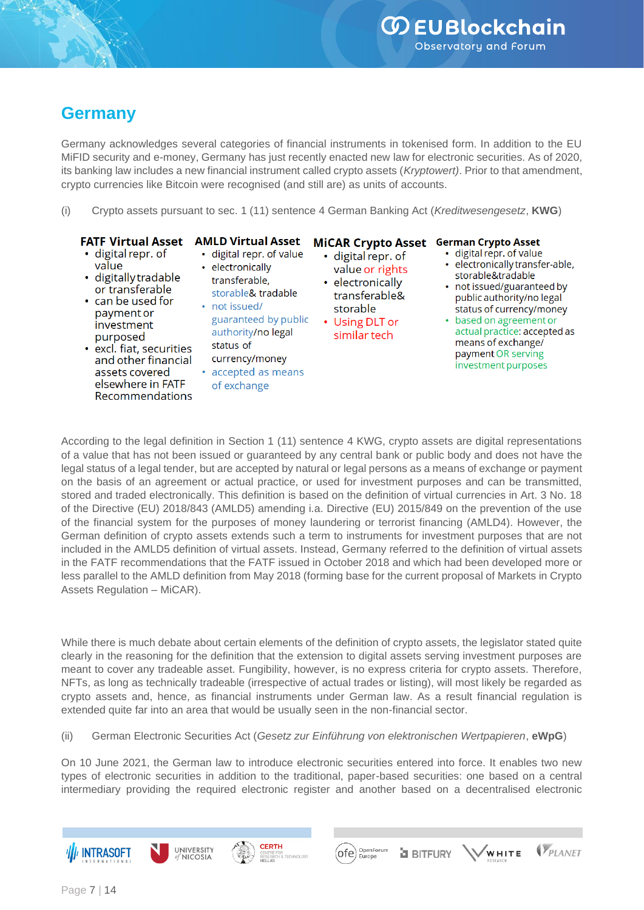## **Germany**

Germany acknowledges several categories of financial instruments in tokenised form. In addition to the EU MiFID security and e-money, Germany has just recently enacted new law for electronic securities. As of 2020, its banking law includes a new financial instrument called crypto assets (*Kryptowert)*. Prior to that amendment, crypto currencies like Bitcoin were recognised (and still are) as units of accounts.

(i) Crypto assets pursuant to sec. 1 (11) sentence 4 German Banking Act (*Kreditwesengesetz*, **KWG**)

#### **FATF Virtual Asset**

#### **AMLD Virtual Asset** MiCAR Crypto Asset German Crypto Asset

- · digital repr. of value
- · digitally tradable or transferable
- can be used for payment or investment purposed
- · excl. fiat, securities and other financial assets covered elsewhere in FATF Recommendations
- · digital repr. of value • electronically transferable. storable& tradable
- not issued/ guaranteed by public authority/no legal status of
- currency/money accepted as means of exchange
- · digital repr. of value or rights electronically transferable& storable
- Using DLT or similar tech
- · digital repr. of value
- · electronically transfer-able, storable&tradable
- not issued/guaranteed by public authority/no legal status of currency/money
- based on agreement or actual practice: accepted as means of exchange/ payment OR serving investment purposes

VPLANET

.<br>WHITE

According to the legal definition in Section 1 (11) sentence 4 KWG, crypto assets are digital representations of a value that has not been issued or guaranteed by any central bank or public body and does not have the legal status of a legal tender, but are accepted by natural or legal persons as a means of exchange or payment on the basis of an agreement or actual practice, or used for investment purposes and can be transmitted, stored and traded electronically. This definition is based on the definition of virtual currencies in Art. 3 No. 18 of the Directive (EU) 2018/843 (AMLD5) amending i.a. Directive (EU) 2015/849 on the prevention of the use of the financial system for the purposes of money laundering or terrorist financing (AMLD4). However, the German definition of crypto assets extends such a term to instruments for investment purposes that are not included in the AMLD5 definition of virtual assets. Instead, Germany referred to the definition of virtual assets in the FATF recommendations that the FATF issued in October 2018 and which had been developed more or less parallel to the AMLD definition from May 2018 (forming base for the current proposal of Markets in Crypto Assets Regulation – MiCAR).

While there is much debate about certain elements of the definition of crypto assets, the legislator stated quite clearly in the reasoning for the definition that the extension to digital assets serving investment purposes are meant to cover any tradeable asset. Fungibility, however, is no express criteria for crypto assets. Therefore, NFTs, as long as technically tradeable (irrespective of actual trades or listing), will most likely be regarded as crypto assets and, hence, as financial instruments under German law. As a result financial regulation is extended quite far into an area that would be usually seen in the non-financial sector.

(ii) German Electronic Securities Act (*Gesetz zur Einführung von elektronischen Wertpapieren*, **eWpG**)

**CERTH** 

JR<br>I & TECHNOLOG'

UNIVERSITY

**NICOSIA** 

On 10 June 2021, the German law to introduce electronic securities entered into force. It enables two new types of electronic securities in addition to the traditional, paper-based securities: one based on a central intermediary providing the required electronic register and another based on a decentralised electronic

OpenForum<br>Europe

**a** BITFURY

(ofe

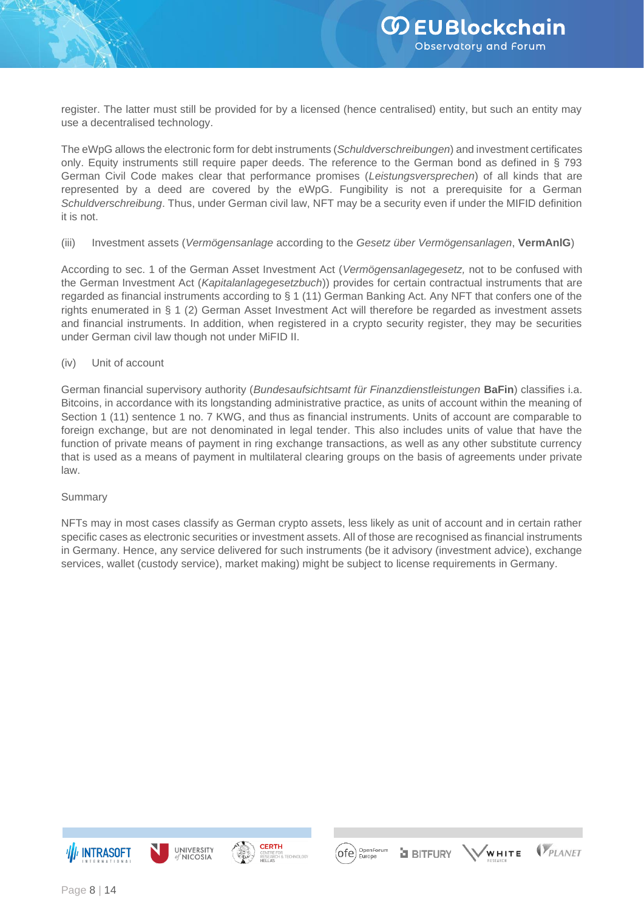register. The latter must still be provided for by a licensed (hence centralised) entity, but such an entity may use a decentralised technology.

The eWpG allows the electronic form for debt instruments (*Schuldverschreibungen*) and investment certificates only. Equity instruments still require paper deeds. The reference to the German bond as defined in § 793 German Civil Code makes clear that performance promises (*Leistungsversprechen*) of all kinds that are represented by a deed are covered by the eWpG. Fungibility is not a prerequisite for a German *Schuldverschreibung*. Thus, under German civil law, NFT may be a security even if under the MIFID definition it is not.

#### (iii) Investment assets (*Vermögensanlage* according to the *Gesetz über Vermögensanlagen*, **VermAnlG**)

According to sec. 1 of the German Asset Investment Act (*Vermögensanlagegesetz,* not to be confused with the German Investment Act (*Kapitalanlagegesetzbuch*)) provides for certain contractual instruments that are regarded as financial instruments according to § 1 (11) German Banking Act. Any NFT that confers one of the rights enumerated in § 1 (2) German Asset Investment Act will therefore be regarded as investment assets and financial instruments. In addition, when registered in a crypto security register, they may be securities under German civil law though not under MiFID II.

#### (iv) Unit of account

German financial supervisory authority (*Bundesaufsichtsamt für Finanzdienstleistungen* **BaFin**) classifies i.a. Bitcoins, in accordance with its longstanding administrative practice, as units of account within the meaning of Section 1 (11) sentence 1 no. 7 KWG, and thus as financial instruments. Units of account are comparable to foreign exchange, but are not denominated in legal tender. This also includes units of value that have the function of private means of payment in ring exchange transactions, as well as any other substitute currency that is used as a means of payment in multilateral clearing groups on the basis of agreements under private law.

#### Summary

NFTs may in most cases classify as German crypto assets, less likely as unit of account and in certain rather specific cases as electronic securities or investment assets. All of those are recognised as financial instruments in Germany. Hence, any service delivered for such instruments (be it advisory (investment advice), exchange services, wallet (custody service), market making) might be subject to license requirements in Germany.





R<br>& TECHNOLOG



.<br>WHITE

VPLANET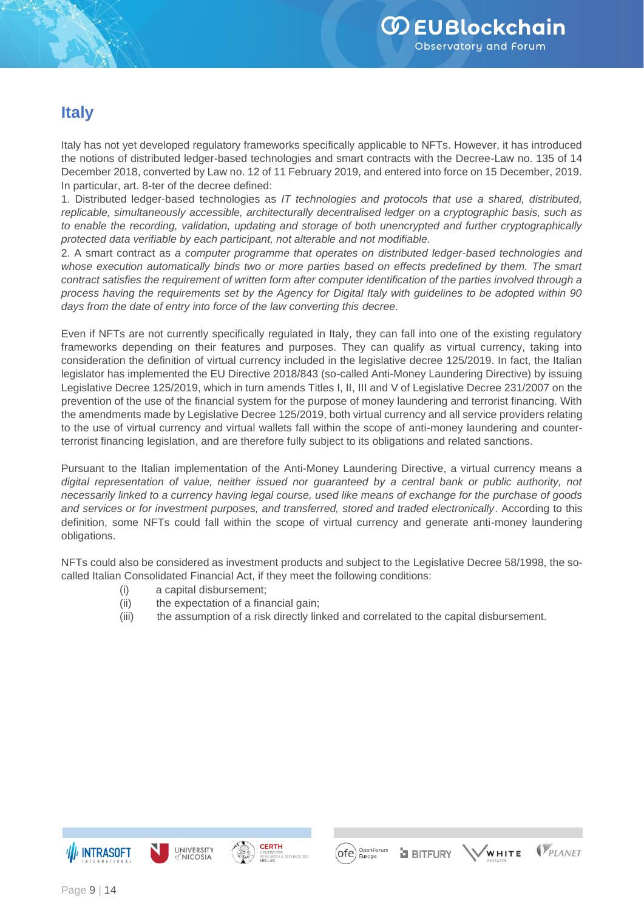### **Italy**

Italy has not yet developed regulatory frameworks specifically applicable to NFTs. However, it has introduced the notions of distributed ledger-based technologies and smart contracts with the Decree-Law no. 135 of 14 December 2018, converted by Law no. 12 of 11 February 2019, and entered into force on 15 December, 2019. In particular, art. 8-ter of the decree defined:

1. Distributed ledger-based technologies as *IT technologies and protocols that use a shared, distributed, replicable, simultaneously accessible, architecturally decentralised ledger on a cryptographic basis, such as to enable the recording, validation, updating and storage of both unencrypted and further cryptographically protected data verifiable by each participant, not alterable and not modifiable.*

2. A smart contract as *a computer programme that operates on distributed ledger-based technologies and*  whose execution automatically binds two or more parties based on effects predefined by them. The smart *contract satisfies the requirement of written form after computer identification of the parties involved through a process having the requirements set by the Agency for Digital Italy with guidelines to be adopted within 90 days from the date of entry into force of the law converting this decree.*

Even if NFTs are not currently specifically regulated in Italy, they can fall into one of the existing regulatory frameworks depending on their features and purposes. They can qualify as virtual currency, taking into consideration the definition of virtual currency included in the legislative decree 125/2019. In fact, the Italian legislator has implemented the EU Directive 2018/843 (so-called Anti-Money Laundering Directive) by issuing Legislative Decree 125/2019, which in turn amends Titles I, II, III and V of Legislative Decree 231/2007 on the prevention of the use of the financial system for the purpose of money laundering and terrorist financing. With the amendments made by Legislative Decree 125/2019, both virtual currency and all service providers relating to the use of virtual currency and virtual wallets fall within the scope of anti-money laundering and counterterrorist financing legislation, and are therefore fully subject to its obligations and related sanctions.

Pursuant to the Italian implementation of the Anti-Money Laundering Directive, a virtual currency means a *digital representation of value, neither issued nor guaranteed by a central bank or public authority, not necessarily linked to a currency having legal course, used like means of exchange for the purchase of goods and services or for investment purposes, and transferred, stored and traded electronically*. According to this definition, some NFTs could fall within the scope of virtual currency and generate anti-money laundering obligations.

NFTs could also be considered as investment products and subject to the Legislative Decree 58/1998, the socalled Italian Consolidated Financial Act, if they meet the following conditions:

- (i) a capital disbursement;
- (ii) the expectation of a financial gain;
- (iii) the assumption of a risk directly linked and correlated to the capital disbursement.









**a** BITFURY

VPLANET ,<br>WHITE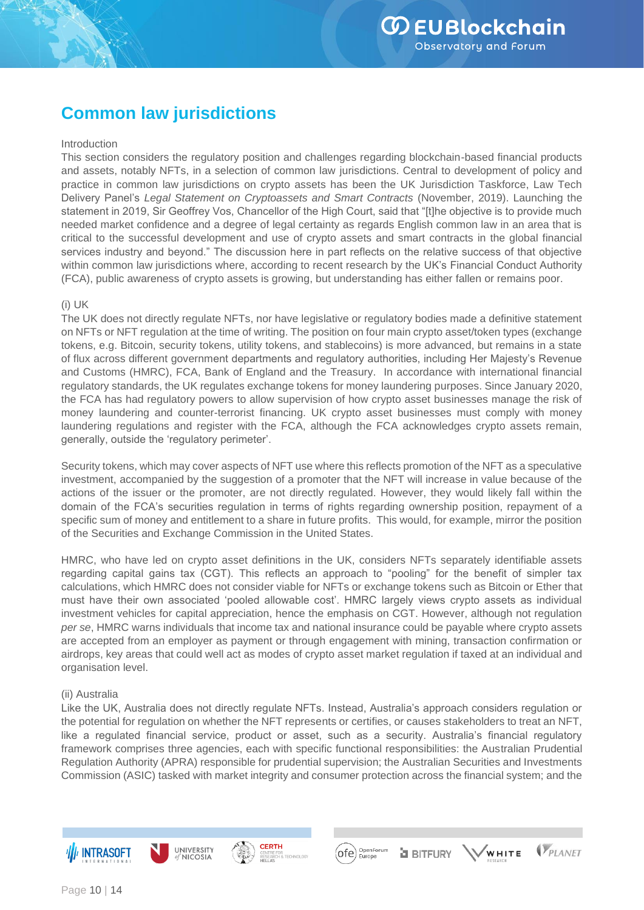## **Common law jurisdictions**

#### Introduction

This section considers the regulatory position and challenges regarding blockchain-based financial products and assets, notably NFTs, in a selection of common law jurisdictions. Central to development of policy and practice in common law jurisdictions on crypto assets has been the UK Jurisdiction Taskforce, Law Tech Delivery Panel's *Legal Statement on Cryptoassets and Smart Contracts* (November, 2019). Launching the statement in 2019, Sir Geoffrey Vos, Chancellor of the High Court, said that "[t]he objective is to provide much needed market confidence and a degree of legal certainty as regards English common law in an area that is critical to the successful development and use of crypto assets and smart contracts in the global financial services industry and beyond." The discussion here in part reflects on the relative success of that objective within common law jurisdictions where, according to recent research by the UK's Financial Conduct Authority (FCA), public awareness of crypto assets is growing, but understanding has either fallen or remains poor.

#### (i) UK

The UK does not directly regulate NFTs, nor have legislative or regulatory bodies made a definitive statement on NFTs or NFT regulation at the time of writing. The position on four main crypto asset/token types (exchange tokens, e.g. Bitcoin, security tokens, utility tokens, and stablecoins) is more advanced, but remains in a state of flux across different government departments and regulatory authorities, including Her Majesty's Revenue and Customs (HMRC), FCA, Bank of England and the Treasury. In accordance with international financial regulatory standards, the UK regulates exchange tokens for money laundering purposes. Since January 2020, the FCA has had regulatory powers to allow supervision of how crypto asset businesses manage the risk of money laundering and counter-terrorist financing. UK crypto asset businesses must comply with money laundering regulations and register with the FCA, although the FCA acknowledges crypto assets remain, generally, outside the 'regulatory perimeter'.

Security tokens, which may cover aspects of NFT use where this reflects promotion of the NFT as a speculative investment, accompanied by the suggestion of a promoter that the NFT will increase in value because of the actions of the issuer or the promoter, are not directly regulated. However, they would likely fall within the domain of the FCA's securities regulation in terms of rights regarding ownership position, repayment of a specific sum of money and entitlement to a share in future profits. This would, for example, mirror the position of the Securities and Exchange Commission in the United States.

HMRC, who have led on crypto asset definitions in the UK, considers NFTs separately identifiable assets regarding capital gains tax (CGT). This reflects an approach to "pooling" for the benefit of simpler tax calculations, which HMRC does not consider viable for NFTs or exchange tokens such as Bitcoin or Ether that must have their own associated 'pooled allowable cost'. HMRC largely views crypto assets as individual investment vehicles for capital appreciation, hence the emphasis on CGT. However, although not regulation *per se*, HMRC warns individuals that income tax and national insurance could be payable where crypto assets are accepted from an employer as payment or through engagement with mining, transaction confirmation or airdrops, key areas that could well act as modes of crypto asset market regulation if taxed at an individual and organisation level.

#### (ii) Australia

Like the UK, Australia does not directly regulate NFTs. Instead, Australia's approach considers regulation or the potential for regulation on whether the NFT represents or certifies, or causes stakeholders to treat an NFT, like a regulated financial service, product or asset, such as a security. Australia's financial regulatory framework comprises three agencies, each with specific functional responsibilities: the Australian Prudential Regulation Authority (APRA) responsible for prudential supervision; the Australian Securities and Investments Commission (ASIC) tasked with market integrity and consumer protection across the financial system; and the







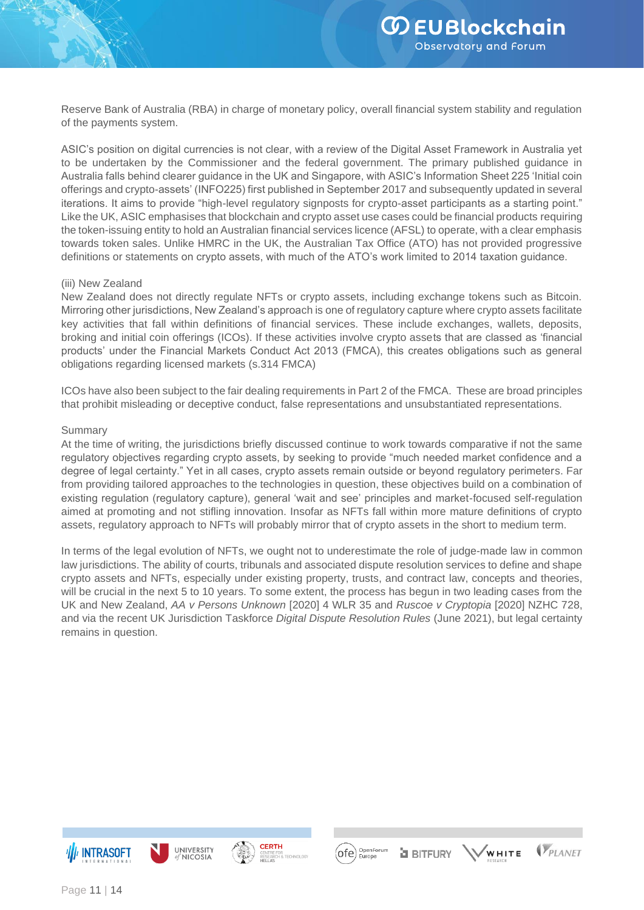Reserve Bank of Australia (RBA) in charge of monetary policy, overall financial system stability and regulation of the payments system.

ASIC's position on digital currencies is not clear, with a review of the Digital Asset Framework in Australia yet to be undertaken by the Commissioner and the federal government. The primary published guidance in Australia falls behind clearer guidance in the UK and Singapore, with ASIC's Information Sheet 225 'Initial coin offerings and crypto-assets' (INFO225) first published in September 2017 and subsequently updated in several iterations. It aims to provide "high-level regulatory signposts for crypto-asset participants as a starting point." Like the UK, ASIC emphasises that blockchain and crypto asset use cases could be financial products requiring the token-issuing entity to hold an Australian financial services licence (AFSL) to operate, with a clear emphasis towards token sales. Unlike HMRC in the UK, the Australian Tax Office (ATO) has not provided progressive definitions or statements on crypto assets, with much of the ATO's work limited to 2014 taxation guidance.

#### (iii) New Zealand

New Zealand does not directly regulate NFTs or crypto assets, including exchange tokens such as Bitcoin. Mirroring other jurisdictions, New Zealand's approach is one of regulatory capture where crypto assets facilitate key activities that fall within definitions of financial services. These include exchanges, wallets, deposits, broking and initial coin offerings (ICOs). If these activities involve crypto assets that are classed as 'financial products' under the Financial Markets Conduct Act 2013 (FMCA), this creates obligations such as general obligations regarding licensed markets (s.314 FMCA)

ICOs have also been subject to the fair dealing requirements in Part 2 of the FMCA. These are broad principles that prohibit misleading or deceptive conduct, false representations and unsubstantiated representations.

#### Summary

At the time of writing, the jurisdictions briefly discussed continue to work towards comparative if not the same regulatory objectives regarding crypto assets, by seeking to provide "much needed market confidence and a degree of legal certainty." Yet in all cases, crypto assets remain outside or beyond regulatory perimeters. Far from providing tailored approaches to the technologies in question, these objectives build on a combination of existing regulation (regulatory capture), general 'wait and see' principles and market-focused self-regulation aimed at promoting and not stifling innovation. Insofar as NFTs fall within more mature definitions of crypto assets, regulatory approach to NFTs will probably mirror that of crypto assets in the short to medium term.

In terms of the legal evolution of NFTs, we ought not to underestimate the role of judge-made law in common law jurisdictions. The ability of courts, tribunals and associated dispute resolution services to define and shape crypto assets and NFTs, especially under existing property, trusts, and contract law, concepts and theories, will be crucial in the next 5 to 10 years. To some extent, the process has begun in two leading cases from the UK and New Zealand, *AA v Persons Unknown* [2020] 4 WLR 35 and *Ruscoe v Cryptopia* [2020] NZHC 728, and via the recent UK Jurisdiction Taskforce *Digital Dispute Resolution Rules* (June 2021), but legal certainty remains in question.







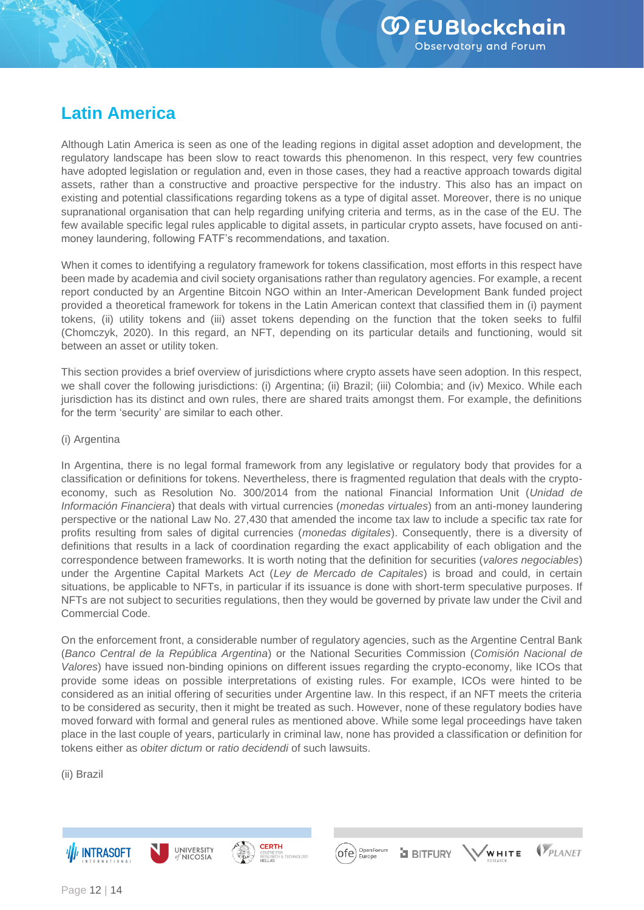## **Latin America**

Although Latin America is seen as one of the leading regions in digital asset adoption and development, the regulatory landscape has been slow to react towards this phenomenon. In this respect, very few countries have adopted legislation or regulation and, even in those cases, they had a reactive approach towards digital assets, rather than a constructive and proactive perspective for the industry. This also has an impact on existing and potential classifications regarding tokens as a type of digital asset. Moreover, there is no unique supranational organisation that can help regarding unifying criteria and terms, as in the case of the EU. The few available specific legal rules applicable to digital assets, in particular crypto assets, have focused on antimoney laundering, following FATF's recommendations, and taxation.

When it comes to identifying a regulatory framework for tokens classification, most efforts in this respect have been made by academia and civil society organisations rather than regulatory agencies. For example, a recent report conducted by an Argentine Bitcoin NGO within an Inter-American Development Bank funded project provided a theoretical framework for tokens in the Latin American context that classified them in (i) payment tokens, (ii) utility tokens and (iii) asset tokens depending on the function that the token seeks to fulfil (Chomczyk, 2020). In this regard, an NFT, depending on its particular details and functioning, would sit between an asset or utility token.

This section provides a brief overview of jurisdictions where crypto assets have seen adoption. In this respect, we shall cover the following jurisdictions: (i) Argentina; (ii) Brazil; (iii) Colombia; and (iv) Mexico. While each jurisdiction has its distinct and own rules, there are shared traits amongst them. For example, the definitions for the term 'security' are similar to each other.

#### (i) Argentina

In Argentina, there is no legal formal framework from any legislative or regulatory body that provides for a classification or definitions for tokens. Nevertheless, there is fragmented regulation that deals with the cryptoeconomy, such as Resolution No. 300/2014 from the national Financial Information Unit (*Unidad de Información Financiera*) that deals with virtual currencies (*monedas virtuales*) from an anti-money laundering perspective or the national Law No. 27,430 that amended the income tax law to include a specific tax rate for profits resulting from sales of digital currencies (*monedas digitales*). Consequently, there is a diversity of definitions that results in a lack of coordination regarding the exact applicability of each obligation and the correspondence between frameworks. It is worth noting that the definition for securities (*valores negociables*) under the Argentine Capital Markets Act (*Ley de Mercado de Capitales*) is broad and could, in certain situations, be applicable to NFTs, in particular if its issuance is done with short-term speculative purposes. If NFTs are not subject to securities regulations, then they would be governed by private law under the Civil and Commercial Code.

On the enforcement front, a considerable number of regulatory agencies, such as the Argentine Central Bank (*Banco Central de la República Argentina*) or the National Securities Commission (*Comisión Nacional de Valores*) have issued non-binding opinions on different issues regarding the crypto-economy, like ICOs that provide some ideas on possible interpretations of existing rules. For example, ICOs were hinted to be considered as an initial offering of securities under Argentine law. In this respect, if an NFT meets the criteria to be considered as security, then it might be treated as such. However, none of these regulatory bodies have moved forward with formal and general rules as mentioned above. While some legal proceedings have taken place in the last couple of years, particularly in criminal law, none has provided a classification or definition for tokens either as *obiter dictum* or *ratio decidendi* of such lawsuits.

(ii) Brazil







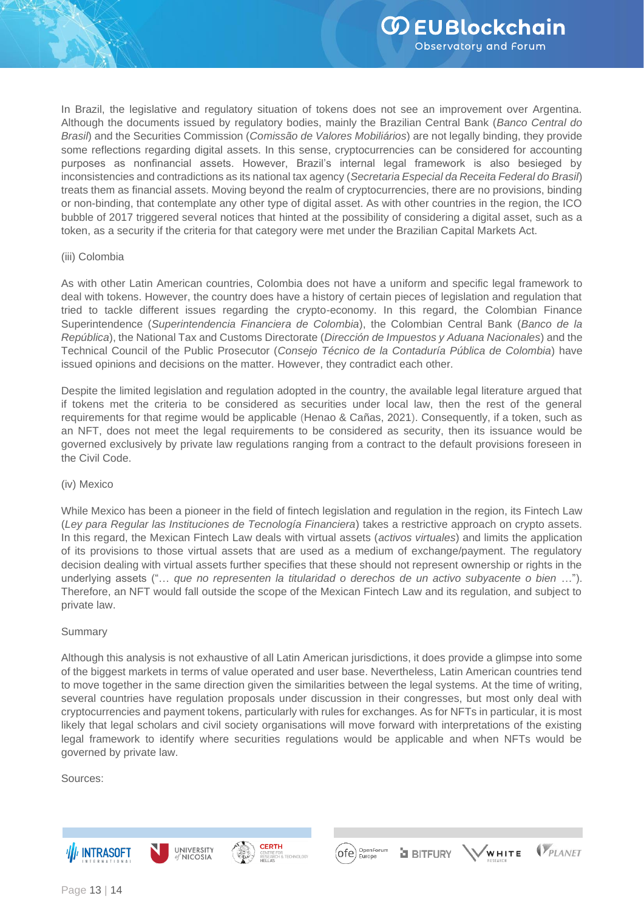In Brazil, the legislative and regulatory situation of tokens does not see an improvement over Argentina. Although the documents issued by regulatory bodies, mainly the Brazilian Central Bank (*Banco Central do Brasil*) and the Securities Commission (*Comissão de Valores Mobiliários*) are not legally binding, they provide some reflections regarding digital assets. In this sense, cryptocurrencies can be considered for accounting purposes as nonfinancial assets. However, Brazil's internal legal framework is also besieged by inconsistencies and contradictions as its national tax agency (*Secretaria Especial da Receita Federal do Brasil*) treats them as financial assets. Moving beyond the realm of cryptocurrencies, there are no provisions, binding or non-binding, that contemplate any other type of digital asset. As with other countries in the region, the ICO bubble of 2017 triggered several notices that hinted at the possibility of considering a digital asset, such as a token, as a security if the criteria for that category were met under the Brazilian Capital Markets Act.

#### (iii) Colombia

As with other Latin American countries, Colombia does not have a uniform and specific legal framework to deal with tokens. However, the country does have a history of certain pieces of legislation and regulation that tried to tackle different issues regarding the crypto-economy. In this regard, the Colombian Finance Superintendence (*Superintendencia Financiera de Colombia*), the Colombian Central Bank (*Banco de la República*), the National Tax and Customs Directorate (*Dirección de Impuestos y Aduana Nacionales*) and the Technical Council of the Public Prosecutor (*Consejo Técnico de la Contaduría Pública de Colombia*) have issued opinions and decisions on the matter. However, they contradict each other.

Despite the limited legislation and regulation adopted in the country, the available legal literature argued that if tokens met the criteria to be considered as securities under local law, then the rest of the general requirements for that regime would be applicable (Henao & Cañas, 2021). Consequently, if a token, such as an NFT, does not meet the legal requirements to be considered as security, then its issuance would be governed exclusively by private law regulations ranging from a contract to the default provisions foreseen in the Civil Code.

#### (iv) Mexico

While Mexico has been a pioneer in the field of fintech legislation and regulation in the region, its Fintech Law (*Ley para Regular las Instituciones de Tecnología Financiera*) takes a restrictive approach on crypto assets. In this regard, the Mexican Fintech Law deals with virtual assets (*activos virtuales*) and limits the application of its provisions to those virtual assets that are used as a medium of exchange/payment. The regulatory decision dealing with virtual assets further specifies that these should not represent ownership or rights in the underlying assets ("… *que no representen la titularidad o derechos de un activo subyacente o bien* …"). Therefore, an NFT would fall outside the scope of the Mexican Fintech Law and its regulation, and subject to private law.

#### Summary

Although this analysis is not exhaustive of all Latin American jurisdictions, it does provide a glimpse into some of the biggest markets in terms of value operated and user base. Nevertheless, Latin American countries tend to move together in the same direction given the similarities between the legal systems. At the time of writing, several countries have regulation proposals under discussion in their congresses, but most only deal with cryptocurrencies and payment tokens, particularly with rules for exchanges. As for NFTs in particular, it is most likely that legal scholars and civil society organisations will move forward with interpretations of the existing legal framework to identify where securities regulations would be applicable and when NFTs would be governed by private law.

(ofe)

Sources: